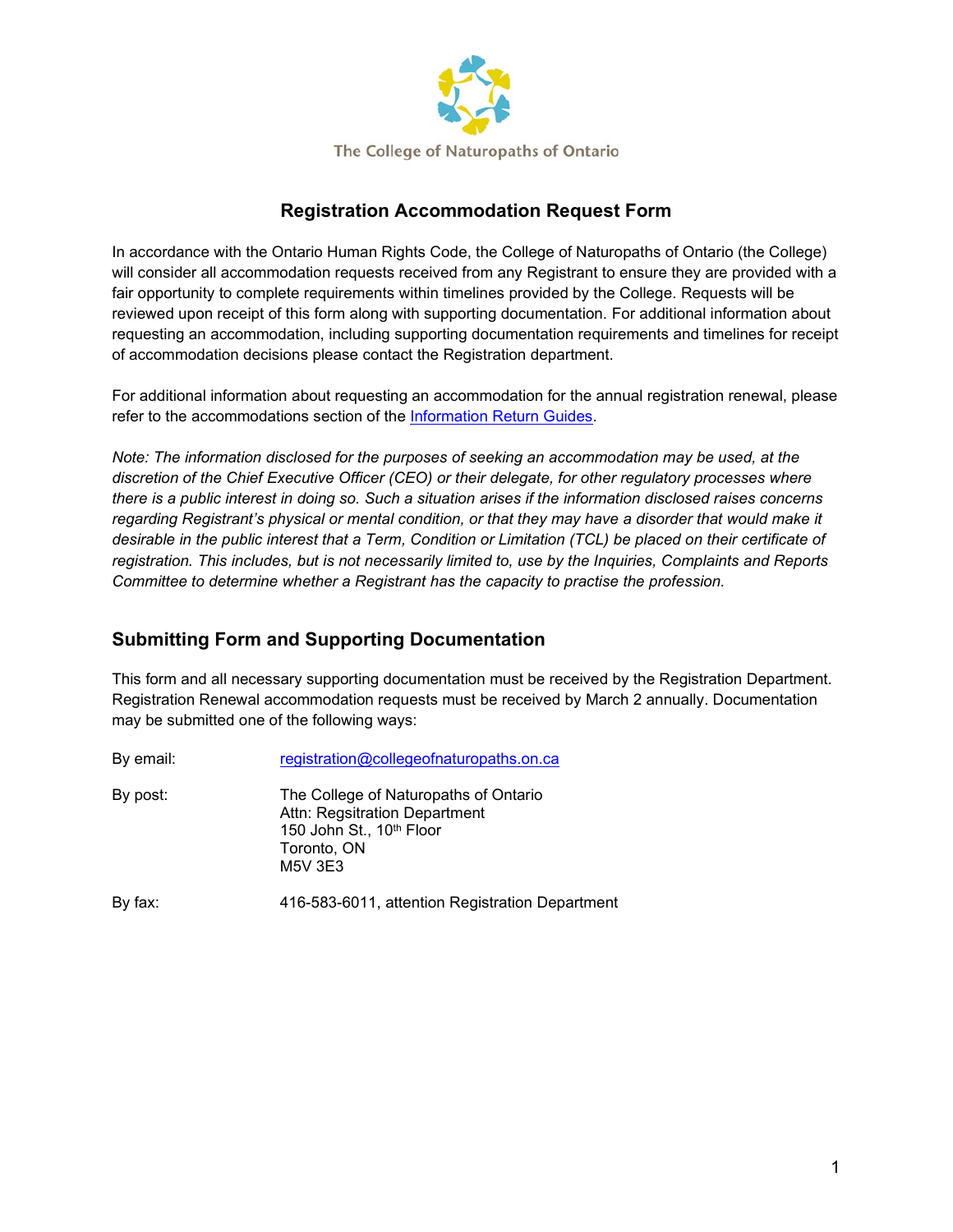

## **Registration Accommodation Request Form**

In accordance with the Ontario Human Rights Code, the College of Naturopaths of Ontario (the College) will consider all accommodation requests received from any Registrant to ensure they are provided with a fair opportunity to complete requirements within timelines provided by the College. Requests will be reviewed upon receipt of this form along with supporting documentation. For additional information about requesting an accommodation, including supporting documentation requirements and timelines for receipt of accommodation decisions please contact the Registration department.

For additional information about requesting an accommodation for the annual registration renewal, please refer to the accommodations section of the [Information Return Guides.](https://www.collegeofnaturopaths.on.ca/members/membership-registration/handbooks-tools-and-forms-registration/)

*Note: The information disclosed for the purposes of seeking an accommodation may be used, at the discretion of the Chief Executive Officer (CEO) or their delegate, for other regulatory processes where there is a public interest in doing so. Such a situation arises if the information disclosed raises concerns regarding Registrant's physical or mental condition, or that they may have a disorder that would make it desirable in the public interest that a Term, Condition or Limitation (TCL) be placed on their certificate of registration. This includes, but is not necessarily limited to, use by the Inquiries, Complaints and Reports Committee to determine whether a Registrant has the capacity to practise the profession.*

## **Submitting Form and Supporting Documentation**

This form and all necessary supporting documentation must be received by the Registration Department. Registration Renewal accommodation requests must be received by March 2 annually. Documentation may be submitted one of the following ways:

| By email: | registration@collegeofnaturopaths.on.ca                                                                                      |
|-----------|------------------------------------------------------------------------------------------------------------------------------|
| By post:  | The College of Naturopaths of Ontario<br>Attn: Regsitration Department<br>150 John St., 10th Floor<br>Toronto, ON<br>M5V 3E3 |
| By fax:   | 416-583-6011, attention Registration Department                                                                              |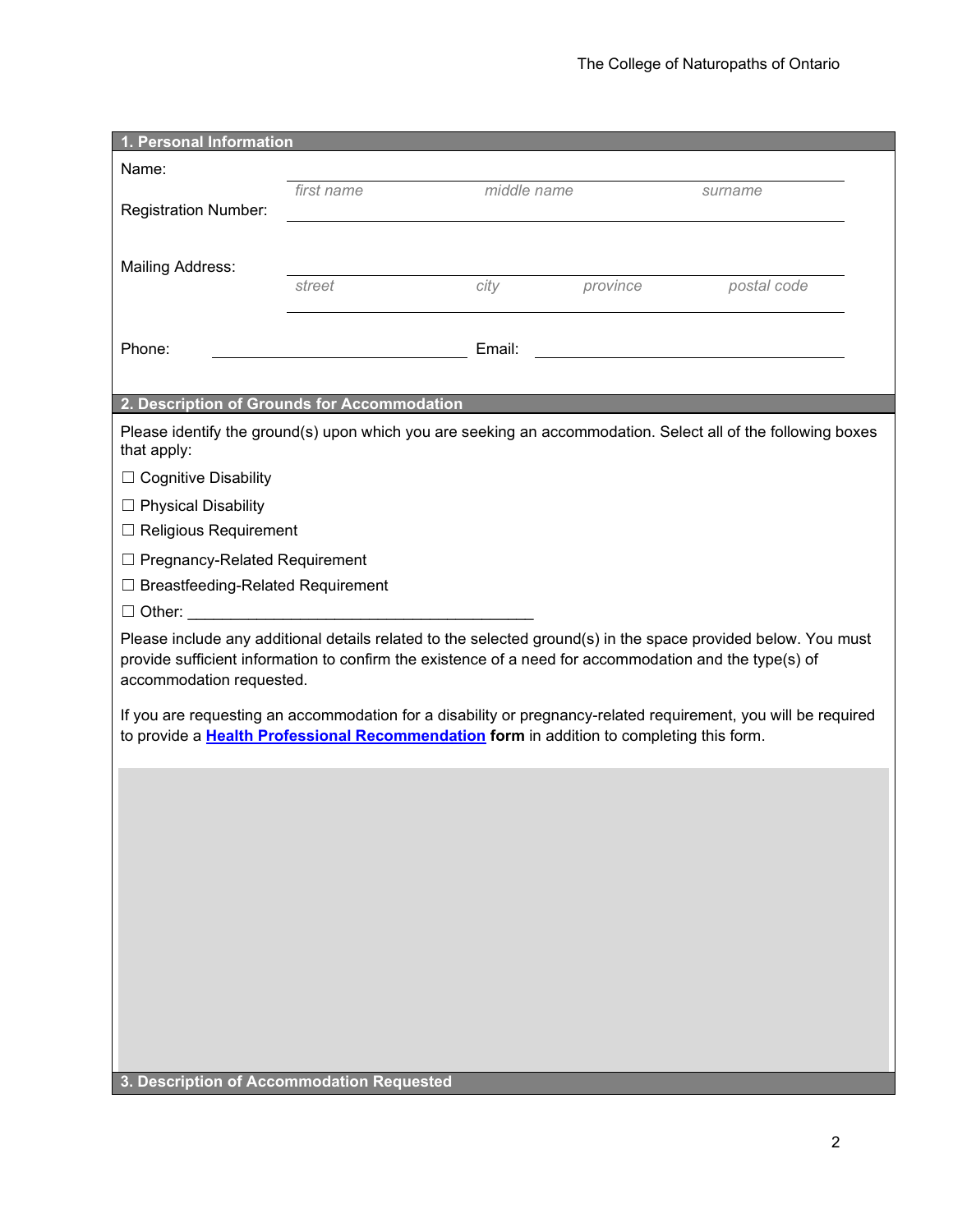| 1. Personal Information                                                                                                     |            |             |          |                                                                                                                |  |  |
|-----------------------------------------------------------------------------------------------------------------------------|------------|-------------|----------|----------------------------------------------------------------------------------------------------------------|--|--|
| Name:                                                                                                                       |            |             |          |                                                                                                                |  |  |
|                                                                                                                             | first name | middle name |          | surname                                                                                                        |  |  |
| <b>Registration Number:</b>                                                                                                 |            |             |          |                                                                                                                |  |  |
|                                                                                                                             |            |             |          |                                                                                                                |  |  |
| <b>Mailing Address:</b>                                                                                                     |            |             |          |                                                                                                                |  |  |
|                                                                                                                             | street     | city        | province | postal code                                                                                                    |  |  |
|                                                                                                                             |            |             |          |                                                                                                                |  |  |
| Phone:                                                                                                                      |            | Email:      |          |                                                                                                                |  |  |
|                                                                                                                             |            |             |          |                                                                                                                |  |  |
| 2. Description of Grounds for Accommodation                                                                                 |            |             |          |                                                                                                                |  |  |
| Please identify the ground(s) upon which you are seeking an accommodation. Select all of the following boxes<br>that apply: |            |             |          |                                                                                                                |  |  |
| □ Cognitive Disability                                                                                                      |            |             |          |                                                                                                                |  |  |
| $\Box$ Physical Disability                                                                                                  |            |             |          |                                                                                                                |  |  |
| $\Box$ Religious Requirement                                                                                                |            |             |          |                                                                                                                |  |  |
| $\Box$ Pregnancy-Related Requirement                                                                                        |            |             |          |                                                                                                                |  |  |
| $\Box$ Breastfeeding-Related Requirement                                                                                    |            |             |          |                                                                                                                |  |  |
|                                                                                                                             |            |             |          |                                                                                                                |  |  |
|                                                                                                                             |            |             |          | Please include any additional details related to the selected ground(s) in the space provided below. You must  |  |  |
| provide sufficient information to confirm the existence of a need for accommodation and the type(s) of                      |            |             |          |                                                                                                                |  |  |
| accommodation requested.                                                                                                    |            |             |          |                                                                                                                |  |  |
|                                                                                                                             |            |             |          | If you are requesting an accommodation for a disability or pregnancy-related requirement, you will be required |  |  |
| to provide a Health Professional Recommendation form in addition to completing this form.                                   |            |             |          |                                                                                                                |  |  |
|                                                                                                                             |            |             |          |                                                                                                                |  |  |
|                                                                                                                             |            |             |          |                                                                                                                |  |  |
|                                                                                                                             |            |             |          |                                                                                                                |  |  |
|                                                                                                                             |            |             |          |                                                                                                                |  |  |
|                                                                                                                             |            |             |          |                                                                                                                |  |  |
|                                                                                                                             |            |             |          |                                                                                                                |  |  |
|                                                                                                                             |            |             |          |                                                                                                                |  |  |
|                                                                                                                             |            |             |          |                                                                                                                |  |  |
|                                                                                                                             |            |             |          |                                                                                                                |  |  |
|                                                                                                                             |            |             |          |                                                                                                                |  |  |
|                                                                                                                             |            |             |          |                                                                                                                |  |  |
|                                                                                                                             |            |             |          |                                                                                                                |  |  |
| 3. Description of Accommodation Requested                                                                                   |            |             |          |                                                                                                                |  |  |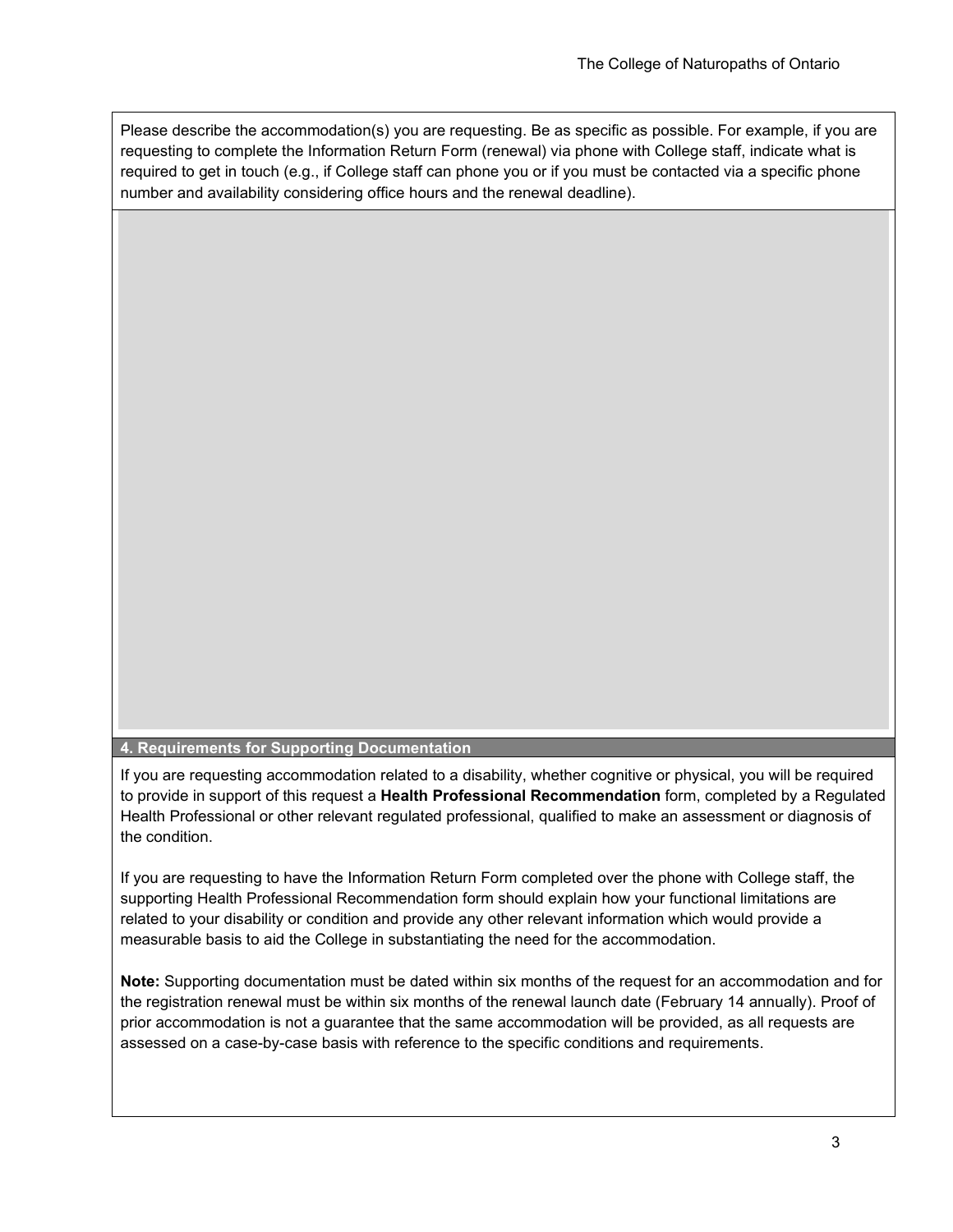Please describe the accommodation(s) you are requesting. Be as specific as possible. For example, if you are requesting to complete the Information Return Form (renewal) via phone with College staff, indicate what is required to get in touch (e.g., if College staff can phone you or if you must be contacted via a specific phone number and availability considering office hours and the renewal deadline).

**4. Requirements for Supporting Documentation**

If you are requesting accommodation related to a disability, whether cognitive or physical, you will be required to provide in support of this request a **Health Professional Recommendation** form, completed by a Regulated Health Professional or other relevant regulated professional, qualified to make an assessment or diagnosis of the condition.

If you are requesting to have the Information Return Form completed over the phone with College staff, the supporting Health Professional Recommendation form should explain how your functional limitations are related to your disability or condition and provide any other relevant information which would provide a measurable basis to aid the College in substantiating the need for the accommodation.

**Note:** Supporting documentation must be dated within six months of the request for an accommodation and for the registration renewal must be within six months of the renewal launch date (February 14 annually). Proof of prior accommodation is not a guarantee that the same accommodation will be provided, as all requests are assessed on a case-by-case basis with reference to the specific conditions and requirements.